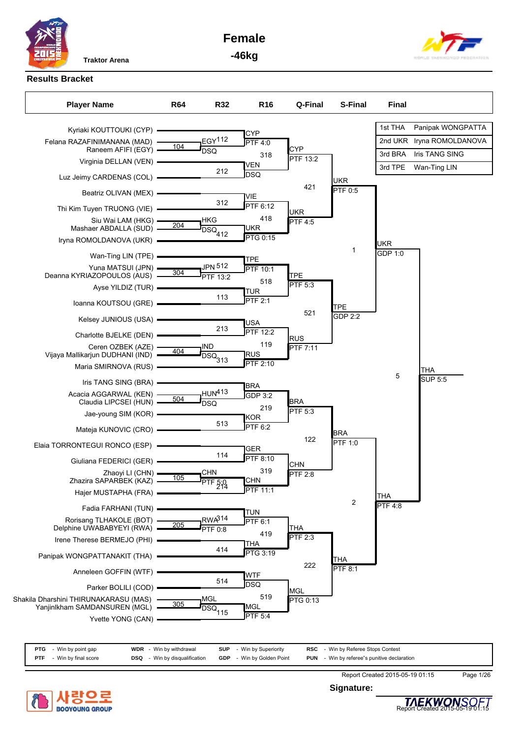**Female**



**-46kg**

# **Results Bracket**

| <b>Player Name</b>                                                     | <b>R64</b> | <b>R32</b>                | R <sub>16</sub>               | Q-Final               | S-Final               | <b>Final</b>          |                   |
|------------------------------------------------------------------------|------------|---------------------------|-------------------------------|-----------------------|-----------------------|-----------------------|-------------------|
| Kyriaki KOUTTOUKI (CYP)                                                |            |                           | <b>CYP</b>                    |                       |                       | 1st THA               | Panipak WONGPATTA |
| Felana RAZAFINIMANANA (MAD)<br>Raneem AFIFI (EGY)                      | 104        | EGY <sup>112</sup>        | <b>PTF 4:0</b>                | <b>CYP</b>            |                       | 2nd UKR               | Iryna ROMOLDANOVA |
| Virginia DELLAN (VEN)                                                  |            | DSO                       | 318                           | PTF 13:2              |                       | 3rd BRA               | Iris TANG SING    |
| Luz Jeimy CARDENAS (COL)                                               |            | 212                       | VEN<br><b>DSQ</b>             |                       |                       | 3rd TPE               | Wan-Ting LIN      |
| Beatriz OLIVAN (MEX)                                                   |            |                           |                               | 421                   | <b>UKR</b><br>PTF 0:5 |                       |                   |
| Thi Kim Tuyen TRUONG (VIE)                                             |            | 312                       | VIE<br>PTF 6:12               |                       |                       |                       |                   |
| Siu Wai LAM (HKG)                                                      | 204        | ιHKG                      | 418                           | <b>UKR</b><br>PTF 4:5 |                       |                       |                   |
| Mashaer ABDALLA (SUD) -<br>Iryna ROMOLDANOVA (UKR) -                   |            | $\overline{DSQ}_{412}$    | UKR<br>PTG 0:15               |                       |                       |                       |                   |
| Wan-Ting LIN (TPE)                                                     |            |                           |                               |                       | 1                     | <b>UKR</b><br>GDP 1:0 |                   |
| Yuna MATSUI (JPN)                                                      |            | JPN 512                   | TPE<br><b>PTF 10:1</b>        |                       |                       |                       |                   |
| Deanna KYRIAZOPOULOS (AUS) -                                           | 304        | PTF 13:2                  | 518                           | <b>TPE</b>            |                       |                       |                   |
| Ayse YILDIZ (TUR)                                                      |            |                           | TUR                           | PTF 5:3               |                       |                       |                   |
| Ioanna KOUTSOU (GRE)                                                   |            | 113                       | PTF 2:1                       |                       | <b>TPE</b>            |                       |                   |
| Kelsey JUNIOUS (USA) -                                                 |            |                           | USA                           | 521                   | <b>GDP 2:2</b>        |                       |                   |
| Charlotte BJELKE (DEN) -                                               |            | 213                       | <b>PTF 12:2</b>               | <b>RUS</b>            |                       |                       |                   |
| Ceren OZBEK (AZE)<br>Vijaya Mallikarjun DUDHANI (IND)                  | 404        | IND                       | 119<br>RUS                    | PTF 7:11              |                       |                       |                   |
| Maria SMIRNOVA (RUS) -                                                 |            | <b>DSQ</b> <sub>313</sub> | PTF 2:10                      |                       |                       |                       | THA               |
| Iris TANG SING (BRA) -                                                 |            |                           |                               |                       |                       | 5                     | <b>SUP 5:5</b>    |
| Acacia AGGARWAL (KEN) -                                                | 504        | HUN413                    | <b>BRA</b><br><b>GDP 3:2</b>  |                       |                       |                       |                   |
| Claudia LIPCSEI (HUN) -                                                |            | <b>DSO</b>                | 219                           | <b>BRA</b><br>PTF 5:3 |                       |                       |                   |
| Jae-young SIM (KOR)                                                    |            | 513                       | KOR<br>PTF 6:2                |                       |                       |                       |                   |
| Mateja KUNOVIC (CRO)                                                   |            |                           |                               | 122                   | <b>BRA</b>            |                       |                   |
| Elaia TORRONTEGUI RONCO (ESP)                                          |            | 114                       | <b>GER</b>                    |                       | PTF 1:0               |                       |                   |
| Giuliana FEDERICI (GER)                                                |            |                           | <b>PTF 8:10</b>               | CHN                   |                       |                       |                   |
| Zhaoyi LI (CHN) .<br>Zhazira SAPARBEK (KAZ)                            | 105        | <b>CHN</b>                | 319<br><b>CHN</b>             | <b>PTF 2:8</b>        |                       |                       |                   |
| Hajer MUSTAPHA (FRA)                                                   |            | PTF 5:0                   | <b>PTF 11:1</b>               |                       |                       | <b>THA</b>            |                   |
| Fadia FARHANI (TUN)                                                    |            |                           | <b>TUN</b>                    |                       | $\overline{2}$        | <b>PTF 4:8</b>        |                   |
| Rorisang TLHAKOLE (BOT)                                                | 205        | RWA314                    | PTF 6:1                       | THA                   |                       |                       |                   |
| Delphine UWABABYEYI (RWA)<br>Irene Therese BERMEJO (PHI)               |            | PTF 0:8                   | 419                           | $PTF$ 2:3             |                       |                       |                   |
| Panipak WONGPATTANAKIT (THA)                                           |            | 414                       | <b>THA</b><br><b>PTG 3:19</b> |                       | <b>THA</b>            |                       |                   |
| Anneleen GOFFIN (WTF)                                                  |            |                           | <b>WTF</b>                    | 222                   | <b>PTF 8:1</b>        |                       |                   |
| Parker BOLILI (COD)                                                    |            | 514                       | DSQ                           |                       |                       |                       |                   |
| Shakila Dharshini THIRUNAKARASU (MAS)<br>Yanjinlkham SAMDANSUREN (MGL) | 305        | <b>MGL</b>                | 519<br><b>MGL</b>             | MGL<br>PTG 0:13       |                       |                       |                   |
| Yvette YONG (CAN)                                                      |            | $\overline{DSQ}_{115}$    | <b>PTF 5:4</b>                |                       |                       |                       |                   |

| PTG<br>- Win by point gap        | <b>WDR</b> - Win by withdrawal       | SUP<br>- Win by Superiority      | <b>RSC</b> - Win by Referee Stops Contest          |  |
|----------------------------------|--------------------------------------|----------------------------------|----------------------------------------------------|--|
| Win by final score<br><b>PTF</b> | <b>DSQ</b> - Win by disqualification | <b>GDP</b> - Win by Golden Point | <b>PUN</b> - Win by referee"s punitive declaration |  |



**Signature:**



Report Created 2015-05-19 01:15 Page 1/26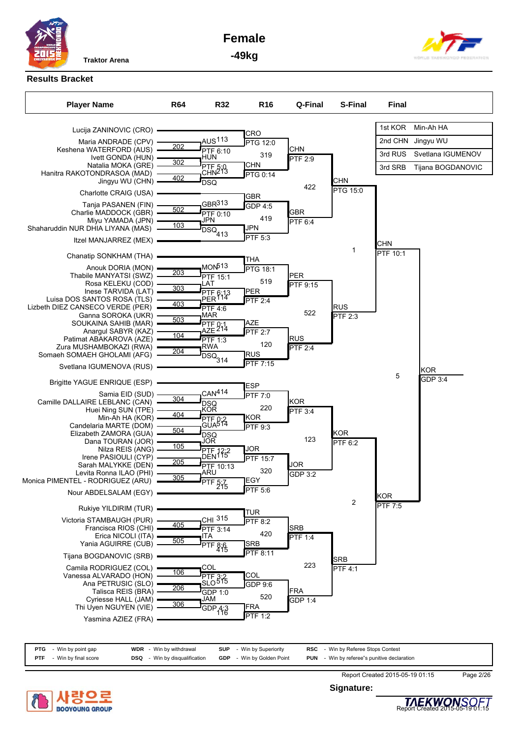

**Female**



**-49kg**

### **Results Bracket**



| <b>PTG</b> - Win by point gap      | <b>WDR</b> - Win by withdrawal       | <b>SUP</b> - Win by Superiority  | <b>RSC</b> - Win by Referee Stops Contest          |  |
|------------------------------------|--------------------------------------|----------------------------------|----------------------------------------------------|--|
| - Win by final score<br><b>PTF</b> | <b>DSQ</b> - Win by disqualification | <b>GDP</b> - Win by Golden Point | <b>PUN</b> - Win by referee"s punitive declaration |  |



**Signature:**



Report Created 2015-05-19 01:15 Page 2/26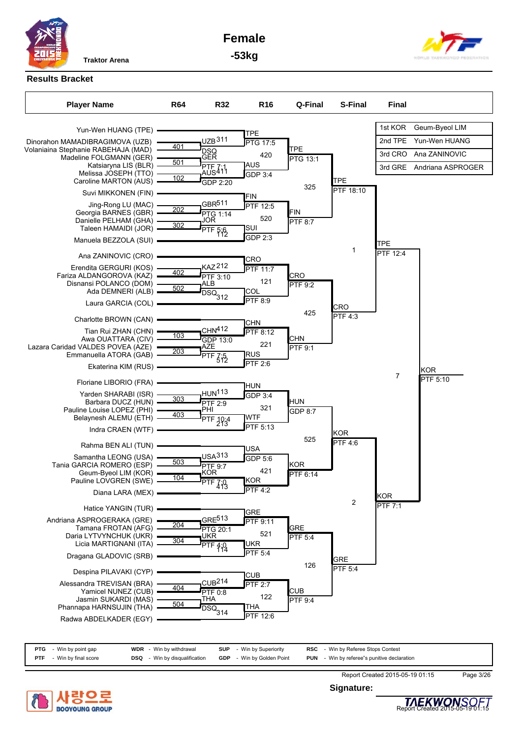

**Female**



**-53kg**

### **Results Bracket**



| <b>PTG</b> | Win by point gap   | <b>WDR</b> - Win by withdrawal   | <b>SUP</b><br>- Win by Superiority | <b>RSC</b><br>- Win by Referee Stops Contest          |  |
|------------|--------------------|----------------------------------|------------------------------------|-------------------------------------------------------|--|
| <b>PTF</b> | Win by final score | - Win by disqualification<br>DSQ | - Win by Golden Point<br>GDP       | - Win by referee"s punitive declaration<br><b>PUN</b> |  |



**Signature:**



Report Created 2015-05-19 01:15 Page 3/26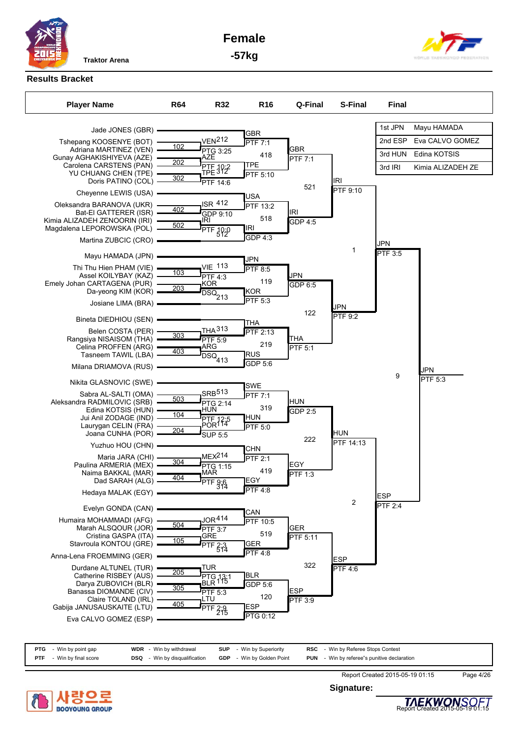

**Female**



**-57kg**

### **Results Bracket**



|            | <b>PTG</b> - Win by point gap | <b>WDR</b> - Win by withdrawal       | <b>SUP</b> - Win by Superiority  |  | <b>RSC</b> - Win by Referee Stops Contest          |
|------------|-------------------------------|--------------------------------------|----------------------------------|--|----------------------------------------------------|
| <b>PTF</b> | - Win by final score          | <b>DSQ</b> - Win by disqualification | <b>GDP</b> - Win by Golden Point |  | <b>PUN</b> - Win by referee"s punitive declaration |



**Signature:**



Report Created 2015-05-19 01:15 Page 4/26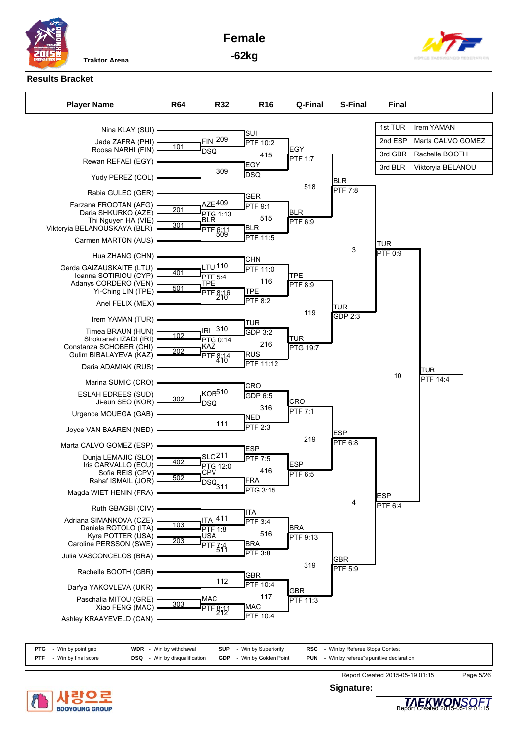

**Female**



**-62kg**

# **Results Bracket**

| <b>Player Name</b>                         | <b>R64</b> | <b>R32</b>         | R <sub>16</sub>                 | Q-Final        | <b>S-Final</b> | <b>Final</b> |                   |
|--------------------------------------------|------------|--------------------|---------------------------------|----------------|----------------|--------------|-------------------|
|                                            |            |                    |                                 |                |                | 1st TUR      | Irem YAMAN        |
| Nina KLAY (SUI) -                          |            | <b>FIN 209</b>     | ISUI                            |                |                |              |                   |
| Jade ZAFRA (PHI)<br>Roosa NARHI (FIN)      | 101        | <b>DSQ</b>         | PTF 10:2                        | <b>EGY</b>     |                | 2nd ESP      | Marta CALVO GOMEZ |
| Rewan REFAEI (EGY)                         |            |                    | 415<br>EGY                      | PTF 1:7        |                | 3rd GBR      | Rachelle BOOTH    |
| Yudy PEREZ (COL)                           |            | 309                | DSQ                             |                | <b>BLR</b>     | 3rd BLR      | Viktoryia BELANOU |
| Rabia GULEC (GER)                          |            |                    |                                 | 518            | <b>PTF 7:8</b> |              |                   |
| Farzana FROOTAN (AFG)                      |            | <b>AZE 409</b>     | GER<br><b>PTF 9:1</b>           |                |                |              |                   |
| Daria SHKURKO (AZE)                        | 201        | PTG 1:13<br>BLR    |                                 | <b>BLR</b>     |                |              |                   |
| Thi Nguyen HA (VIE)                        | 301        |                    | 515                             | PTF 6:9        |                |              |                   |
| Viktoryia BELANOUSKAYA (BLR)               |            | PTF 6:11           | <b>BLR</b><br>PTF 11:5          |                |                |              |                   |
| Carmen MARTON (AUS)                        |            |                    |                                 |                |                | <b>TUR</b>   |                   |
| Hua ZHANG (CHN)                            |            |                    | CHN                             |                | 3              | PTF 0:9      |                   |
| Gerda GAIZAUSKAITE (LTU)                   |            | LTU 110            | <b>PTF 11:0</b>                 |                |                |              |                   |
| Ioanna SOTIRIOU (CYP)                      | 401        | <b>PTF 5:4</b>     |                                 | <b>TPE</b>     |                |              |                   |
| Adanys CORDERO (VEN)                       | 501        | TPE                | 116                             | <b>PTF 8:9</b> |                |              |                   |
| Yi-Ching LIN (TPE)                         |            | PTF 8:16           | TPE<br><b>PTF 8:2</b>           |                |                |              |                   |
| Anel FELIX (MEX)                           |            |                    |                                 |                | <b>TUR</b>     |              |                   |
| Irem YAMAN (TUR)                           |            |                    |                                 | 119            | GDP 2:3        |              |                   |
|                                            |            | IRI 310            | TUR                             |                |                |              |                   |
| Timea BRAUN (HUN)<br>Shokraneh IZADI (IRI) | 102        | PTG 0:14           | <b>GDP 3:2</b>                  | <b>TUR</b>     |                |              |                   |
| Constanza SCHOBER (CHI)                    |            | KAŽ                | 216                             | PTG 19:7       |                |              |                   |
| Gulim BIBALAYEVA (KAZ)                     | 202        | PTF 8:14           | RUS                             |                |                |              |                   |
| Daria ADAMIAK (RUS) -                      |            |                    | $\overline{\mathsf{PTF}}$ 11:12 |                |                |              | <b>TUR</b>        |
| Marina SUMIC (CRO)                         |            |                    | <b>CRO</b>                      |                |                | 10           | PTF 14:4          |
| <b>ESLAH EDREES (SUD)</b>                  |            | <b>KOR510</b>      | GDP 6:5                         |                |                |              |                   |
| Ji-eun SEO (KOR)                           | 302        | DSQ                |                                 | <b>CRO</b>     |                |              |                   |
| Urgence MOUEGA (GAB)                       |            |                    | 316                             | <b>PTF 7:1</b> |                |              |                   |
|                                            |            | 111                | NED<br><b>PTF 2:3</b>           |                |                |              |                   |
| Joyce VAN BAAREN (NED)                     |            |                    |                                 |                | <b>ESP</b>     |              |                   |
| Marta CALVO GOMEZ (ESP)                    |            |                    | ESP                             | 219            | <b>PTF 6:8</b> |              |                   |
| Dunja LEMAJIC (SLO)                        |            | SLO <sup>211</sup> | PTF7:5                          |                |                |              |                   |
| Iris CARVALLO (ECU)                        | 402        | PTG 12:0           |                                 | <b>ESP</b>     |                |              |                   |
| Sofia REIS (CPV)                           | 502        | CPV                | 416                             | <b>PTF 6:5</b> |                |              |                   |
| Rahaf ISMAIL (JOR) -                       |            | DSQ.<br>311        | <b>FRA</b>                      |                |                |              |                   |
| Magda WIET HENIN (FRA)                     |            |                    | $PTG$ 3:15                      |                |                | <b>ESP</b>   |                   |
| Ruth GBAGBI (CIV)                          |            |                    | <b>ITA</b>                      |                | 4              | PTF 6:4      |                   |
| Adriana SIMANKOVA (CZE)                    |            | <b>ITA 411</b>     | PTF 3:4                         |                |                |              |                   |
| Daniela ROTOLO (ITA)                       | 103        | <b>PTF 1:8</b>     |                                 | <b>BRA</b>     |                |              |                   |
| Kyra POTTER (USA)                          | 203        | USA                | 516                             | PTF 9:13       |                |              |                   |
| Caroline PERSSON (SWE)                     |            | PTF Z:4            | <b>BRA</b>                      |                |                |              |                   |
| Julia VASCONCELOS (BRA)                    |            |                    | PTF 3:8                         |                | <b>GBR</b>     |              |                   |
| Rachelle BOOTH (GBR)                       |            |                    | GBR                             | 319            | PTF 5:9        |              |                   |
|                                            |            | 112                | PTF 10:4                        |                |                |              |                   |
| Dar'ya YAKOVLEVA (UKR)                     |            |                    |                                 | <b>GBR</b>     |                |              |                   |
| Paschalia MITOU (GRE)                      | 303        | <b>MAC</b>         | 117                             | PTF 11:3       |                |              |                   |
| Xiao FENG (MAC)                            |            | PTF 8:11           | <b>MAC</b>                      |                |                |              |                   |
| Ashley KRAAYEVELD (CAN)                    |            |                    | <b>PTF 10:4</b>                 |                |                |              |                   |
|                                            |            |                    |                                 |                |                |              |                   |

| <b>PTG</b> - Win by point gap   | <b>WDR</b> - Win by withdrawal       | <b>SUP</b> - Win by Superiority  | <b>RSC</b> - Win by Referee Stops Contest          |
|---------------------------------|--------------------------------------|----------------------------------|----------------------------------------------------|
| <b>PTF</b> - Win by final score | <b>DSQ</b> - Win by disqualification | <b>GDP</b> - Win by Golden Point | <b>PUN</b> - Win by referee"s punitive declaration |



**Signature:**



Report Created 2015-05-19 01:15 Page 5/26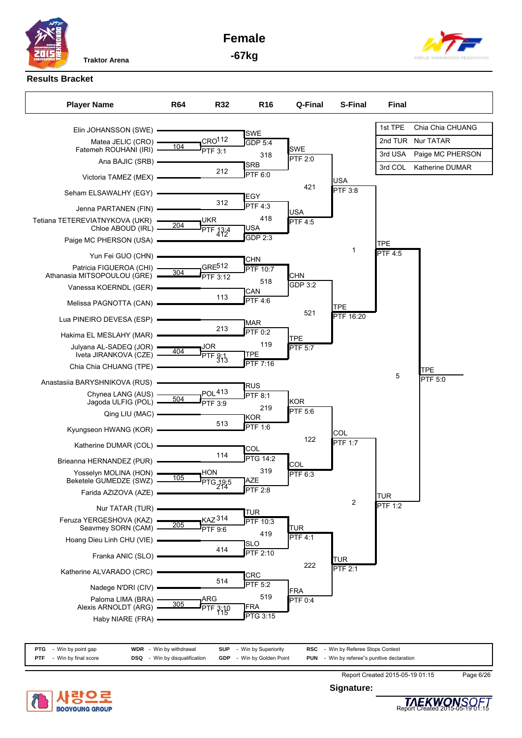**Female -67kg**





**Results Bracket**



| <b>PTG</b><br>Win by point gap   | <b>WDR</b><br>- Win by withdrawal       | <b>SUP</b><br>- Win by Superiority | <b>RSC</b> - Win by Referee Stops Contest          |  |
|----------------------------------|-----------------------------------------|------------------------------------|----------------------------------------------------|--|
| Win by final score<br><b>PTF</b> | - Win by disqualification<br><b>DSQ</b> | - Win by Golden Point<br>GDP       | <b>PUN</b> - Win by referee"s punitive declaration |  |



**Signature:**



Report Created 2015-05-19 01:15 Page 6/26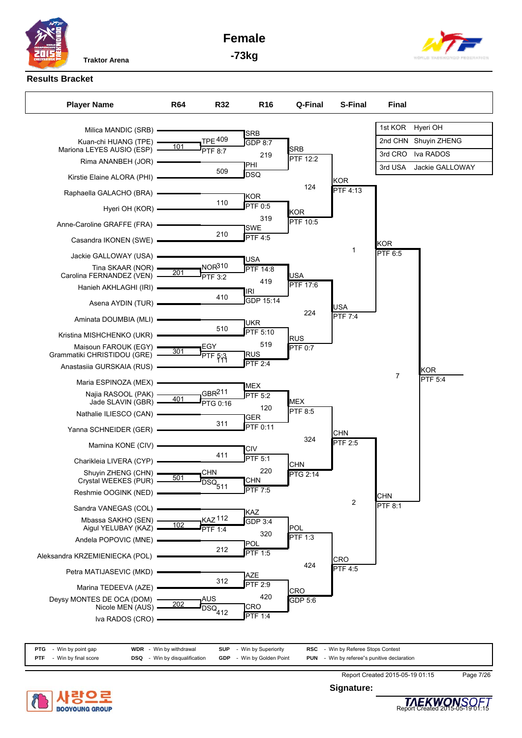**Female**



**-73kg**

### **Results Bracket**



| <b>PTG</b> | Win by point gap     | <b>WDR</b><br>- Win by withdrawal | <b>SUP</b><br>- Win by Superiority | <b>RSC</b> - Win by Referee Stops Contest             |  |
|------------|----------------------|-----------------------------------|------------------------------------|-------------------------------------------------------|--|
| <b>PTF</b> | - Win by final score | - Win by disqualification<br>DSQ  | - Win by Golden Point<br>GDP       | - Win by referee"s punitive declaration<br><b>PUN</b> |  |



**Signature:**



Report Created 2015-05-19 01:15 Page 7/26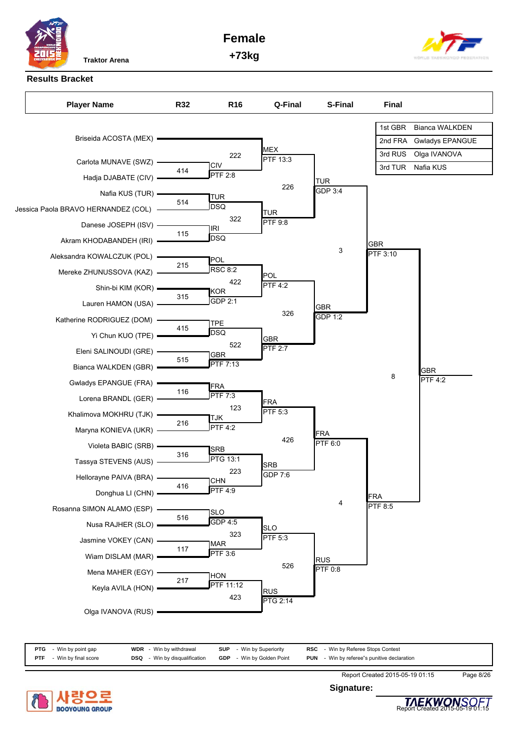

**Female +73kg**



**Results Bracket**



| PTG        | - Win by point gap   | <b>WDR</b> - Win by withdrawal       | <b>SUP</b> - Win by Superiority  | <b>RSC</b> - Win by Referee Stops Contest          |  |
|------------|----------------------|--------------------------------------|----------------------------------|----------------------------------------------------|--|
| <b>PTF</b> | - Win by final score | <b>DSQ</b> - Win by disqualification | <b>GDP</b> - Win by Golden Point | <b>PUN</b> - Win by referee"s punitive declaration |  |



**Signature:**



Report Created 2015-05-19 01:15 Page 8/26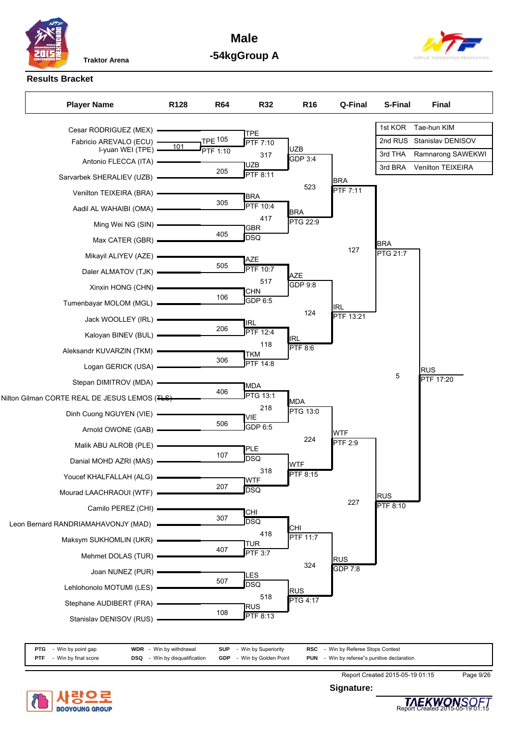

**Male -54kgGroup A**



### **Results Bracket**

| <b>Player Name</b>                            | R <sub>128</sub> | <b>R64</b>      | <b>R32</b>                    | R <sub>16</sub>               | Q-Final                | S-Final         | <b>Final</b>      |
|-----------------------------------------------|------------------|-----------------|-------------------------------|-------------------------------|------------------------|-----------------|-------------------|
| Cesar RODRIGUEZ (MEX) .                       |                  |                 | <b>TPE</b>                    |                               |                        | 1st KOR         | Tae-hun KIM       |
| Fabricio AREVALO (ECU) -                      | 101              | <b>TPE 105</b>  | PTF 7:10                      |                               |                        | 2nd RUS         | Stanislav DENISOV |
| I-yuan WEI (TPE) -<br>Antonio FLECCA (ITA) -  |                  | <b>PTF 1:10</b> | 317                           | <b>UZB</b><br>GDP 3:4         |                        | 3rd THA         | Ramnarong SAWEKWI |
| Sarvarbek SHERALIEV (UZB)                     |                  | 205             | <b>UZB</b><br><b>PTF 8:11</b> |                               |                        | 3rd BRA         | Venilton TEIXEIRA |
| Venilton TEIXEIRA (BRA) -                     |                  |                 |                               | 523                           | <b>BRA</b><br>PTF 7:11 |                 |                   |
| Aadil AL WAHAIBI (OMA) -                      |                  | 305             | <b>BRA</b><br>PTF 10:4        |                               |                        |                 |                   |
| Ming Wei NG (SIN) -                           |                  |                 | 417                           | <b>BRA</b><br><b>PTG 22:9</b> |                        |                 |                   |
| Max CATER (GBR) =                             |                  | 405             | <b>GBR</b><br>DSQ             |                               |                        | <b>BRA</b>      |                   |
| Mikayil ALIYEV (AZE) -                        |                  |                 |                               |                               | 127                    | <b>PTG 21:7</b> |                   |
| Daler ALMATOV (TJK)                           |                  | 505             | AZE<br><b>PTF 10:7</b>        | <b>AZE</b>                    |                        |                 |                   |
| Xinxin HONG (CHN) -                           |                  |                 | 517<br>CHN                    | GDP 9:8                       |                        |                 |                   |
| Tumenbayar MOLOM (MGL)                        |                  | 106             | GDP 6:5                       |                               | <b>IRL</b>             |                 |                   |
| Jack WOOLLEY (IRL) -                          |                  |                 |                               | 124                           | PTF 13:21              |                 |                   |
| Kaloyan BINEV (BUL) -                         |                  | 206             | <b>IRL</b><br><b>PTF 12:4</b> |                               |                        |                 |                   |
| Aleksandr KUVARZIN (TKM) -                    |                  |                 | 118                           | <b>IRL</b><br><b>PTF 8:6</b>  |                        |                 |                   |
| Logan GERICK (USA) -                          |                  | 306             | TKM<br><b>PTF 14:8</b>        |                               |                        |                 | <b>RUS</b>        |
| Stepan DIMITROV (MDA) -                       |                  |                 | MDA                           |                               |                        | 5               | PTF 17:20         |
| Nilton Gilman CORTE REAL DE JESUS LEMOS (TLS) |                  | 406             | <b>PTG 13:1</b>               | <b>MDA</b>                    |                        |                 |                   |
| Dinh Cuong NGUYEN (VIE) -                     |                  |                 | 218<br>VIE                    | PTG 13:0                      |                        |                 |                   |
| Arnold OWONE (GAB)                            |                  | 506             | GDP 6:5                       |                               | <b>WTF</b>             |                 |                   |
| Malik ABU ALROB (PLE) -                       |                  |                 | PLE                           | 224                           | <b>PTF 2:9</b>         |                 |                   |
| Danial MOHD AZRI (MAS) -                      |                  | 107             | DSQ                           | <b>WTF</b>                    |                        |                 |                   |
| Youcef KHALFALLAH (ALG) -                     |                  |                 | 318<br><b>NVTF</b>            | PTF 8:15                      |                        |                 |                   |
| Mourad LAACHRAOUI (WTF) -                     |                  | 207             | DSQ                           |                               |                        | <b>RUS</b>      |                   |
| Camilo PEREZ (CHI)                            |                  |                 | CHI                           |                               | 227                    | PTF 8:10        |                   |
| Leon Bernard RANDRIAMAHAVONJY (MAD)           |                  | 307             | DSQ                           | <b>CHI</b>                    |                        |                 |                   |
| Maksym SUKHOMLIN (UKR)                        |                  |                 | 418<br><b>TUR</b>             | <b>PTF 11:7</b>               |                        |                 |                   |
| Mehmet DOLAS (TUR)                            |                  | 407             | PTF 3:7                       |                               | <b>RUS</b>             |                 |                   |
| Joan NUNEZ (PUR) -                            |                  |                 | LES                           | 324                           | GDP 7:8                |                 |                   |
| Lehlohonolo MOTUMI (LES)                      |                  | 507             | DSQ                           | RUS                           |                        |                 |                   |
| Stephane AUDIBERT (FRA)                       |                  |                 | 518<br>∣RUS                   | <b>PTG 4:17</b>               |                        |                 |                   |
| Stanislav DENISOV (RUS)                       |                  | 108             | <b>PTF 8:13</b>               |                               |                        |                 |                   |



Report Created 2015-05-19 01:15 Page 9/26 **Signature:**

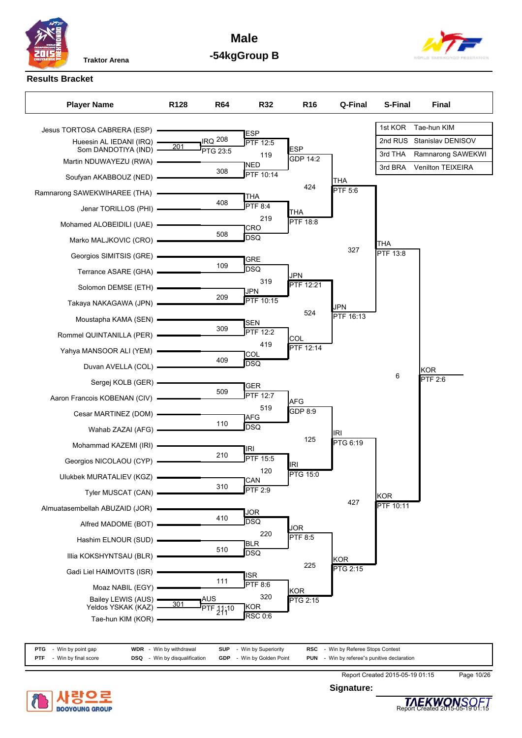**Male -54kgGroup B**



# **Results Bracket**

| <b>Player Name</b>                       | R <sub>128</sub> | <b>R64</b>      | R32                     | R <sub>16</sub>        | Q-Final               | <b>S-Final</b>          | <b>Final</b>              |
|------------------------------------------|------------------|-----------------|-------------------------|------------------------|-----------------------|-------------------------|---------------------------|
| Jesus TORTOSA CABRERA (ESP)              |                  |                 |                         |                        |                       | 1st KOR                 | Tae-hun KIM               |
| Hueesin AL IEDANI (IRQ)                  |                  | $IRQ$ 208       | <b>ESP</b><br>PTF 12:5  |                        |                       |                         | 2nd RUS Stanislav DENISOV |
| Som DANDOTIYA (IND)                      | 201              | PTG 23:5        | 119                     | <b>ESP</b><br>GDP 14:2 |                       | 3rd THA                 | Ramnarong SAWEKWI         |
| Martin NDUWAYEZU (RWA)                   |                  | 308             | <b>NED</b><br>PTF 10:14 |                        |                       | 3rd BRA                 | Venilton TEIXEIRA         |
| Soufyan AKABBOUZ (NED)                   |                  |                 |                         | 424                    | <b>THA</b><br>PTF 5:6 |                         |                           |
| Ramnarong SAWEKWIHAREE (THA) .           |                  | 408             | THA<br><b>PTF 8:4</b>   |                        |                       |                         |                           |
| Jenar TORILLOS (PHI) -                   |                  |                 | 219                     | THA<br><b>PTF 18:8</b> |                       |                         |                           |
|                                          |                  | 508             | <b>CRO</b>              |                        |                       |                         |                           |
| Marko MALJKOVIC (CRO) -                  |                  |                 | DSQ                     |                        | 327                   | THA                     |                           |
| Georgios SIMITSIS (GRE) -                |                  | 109             | <b>GRE</b>              |                        |                       | PTF 13:8                |                           |
| Terrance ASARE (GHA) -                   |                  |                 | <b>DSQ</b><br>319       | <b>JPN</b>             |                       |                         |                           |
| Solomon DEMSE (ETH) -                    |                  |                 | <b>JPN</b>              | PTF 12:21              |                       |                         |                           |
| Takaya NAKAGAWA (JPN) -                  |                  | 209             | PTF 10:15               |                        | JPN                   |                         |                           |
| Moustapha KAMA (SEN) =                   |                  |                 | <b>SEN</b>              | 524                    | PTF 16:13             |                         |                           |
| Rommel QUINTANILLA (PER)                 |                  | 309             | PTF 12:2                | <b>COL</b>             |                       |                         |                           |
| Yahya MANSOOR ALI (YEM) -                |                  |                 | 419<br>COL              | PTF 12:14              |                       |                         |                           |
| Duvan AVELLA (COL) -                     |                  | 409             | DSQ                     |                        |                       |                         | KOR                       |
| Sergej KOLB (GER) -                      |                  |                 | <b>GER</b>              |                        |                       | 6                       | PTF 2:6                   |
| Aaron Francois KOBENAN (CIV) .           |                  | 509             | PTF 12:7                | AFG                    |                       |                         |                           |
|                                          |                  |                 | 519<br><b>AFG</b>       | GDP 8:9                |                       |                         |                           |
| Wahab ZAZAI (AFG) -                      |                  | 110             | DSQ                     |                        |                       |                         |                           |
| Mohammad KAZEMI (IRI) -                  |                  |                 |                         | 125                    | IRI<br>PTG 6:19       |                         |                           |
| Georgios NICOLAOU (CYP)                  |                  | 210             | IRI<br><b>PTF 15:5</b>  |                        |                       |                         |                           |
| Ulukbek MURATALIEV (KGZ) =               |                  |                 | 120                     | IRI<br><b>PTG 15:0</b> |                       |                         |                           |
| Tyler MUSCAT (CAN) -                     |                  | 310             | CAN<br>PTF 2:9          |                        |                       |                         |                           |
| Almuatasembellah ABUZAID (JOR)           |                  |                 |                         |                        | 427                   | <b>KOR</b><br>PTF 10:11 |                           |
|                                          |                  | 410             | <b>JOR</b><br>JDSQ      |                        |                       |                         |                           |
| Alfred MADOME (BOT)                      |                  |                 | 220                     | JOR<br>PTF 8:5         |                       |                         |                           |
| Hashim ELNOUR (SUD)                      |                  | 510             | BLR<br><b>DSQ</b>       |                        |                       |                         |                           |
| Illia KOKSHYNTSAU (BLR)                  |                  |                 |                         | 225                    | <b>KOR</b>            |                         |                           |
| Gadi Liel HAIMOVITS (ISR)                |                  | 111             | <b>ISR</b>              |                        | PTG 2:15              |                         |                           |
| Moaz NABIL (EGY)                         |                  |                 | PTF 8:6<br>320          | KOR                    |                       |                         |                           |
| Bailey LEWIS (AUS)<br>Yeldos YSKAK (KAZ) | 301              | AUS<br>TF 11:10 | KOR]                    | PTG 2:15               |                       |                         |                           |
| Tae-hun KIM (KOR) -                      |                  |                 | <b>RSC 0:6</b>          |                        |                       |                         |                           |
|                                          |                  |                 |                         |                        |                       |                         |                           |

| <b>PTG</b> | Win by point gap   | <b>WDR</b> - Win by withdrawal       | SUP<br>- Win by Superiority      | <b>RSC</b> - Win by Referee Stops Contest          |  |
|------------|--------------------|--------------------------------------|----------------------------------|----------------------------------------------------|--|
| <b>PTF</b> | Win by final score | <b>DSQ</b> - Win by disqualification | <b>GDP</b> - Win by Golden Point | <b>PUN</b> - Win by referee"s punitive declaration |  |





**Signature:**

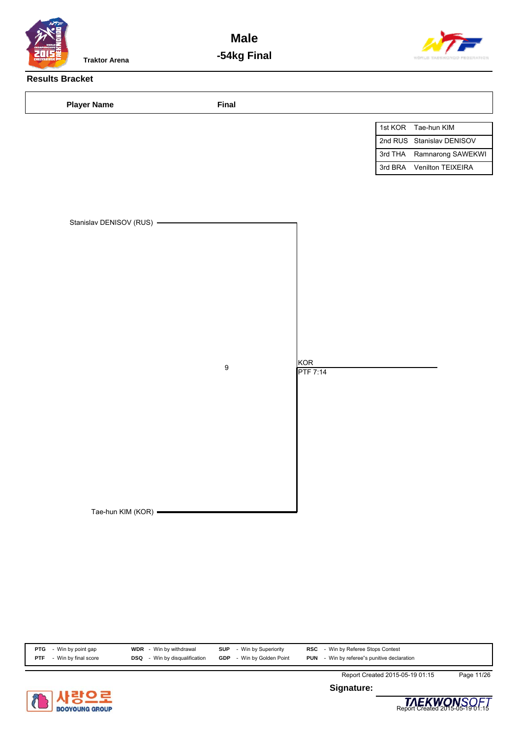

**Male -54kg Final**



# **Results Bracket**

| <b>Player Name</b>                               | Final            |                        |         |                           |
|--------------------------------------------------|------------------|------------------------|---------|---------------------------|
|                                                  |                  |                        |         | 1st KOR Tae-hun KIM       |
|                                                  |                  |                        |         | 2nd RUS Stanislav DENISOV |
|                                                  |                  |                        | 3rd THA | Ramnarong SAWEKWI         |
|                                                  |                  |                        |         | 3rd BRA Venilton TEIXEIRA |
| Stanislav DENISOV (RUS) -<br>Tae-hun KIM (KOR) - | $\boldsymbol{9}$ | KOR<br><b>PTF 7:14</b> |         |                           |
|                                                  |                  |                        |         |                           |

| PTG        | Win by point gap   | <b>WDR</b> - Win by withdrawal       | <b>SUP</b><br>- Win by Superiority | <b>RSC</b> - Win by Referee Stops Contest          |  |
|------------|--------------------|--------------------------------------|------------------------------------|----------------------------------------------------|--|
| <b>PTF</b> | Win by final score | <b>DSQ</b> - Win by disqualification | - Win by Golden Point<br>GDP       | <b>PUN</b> - Win by referee"s punitive declaration |  |



**Signature:**



Report Created 2015-05-19 01:15 Page 11/26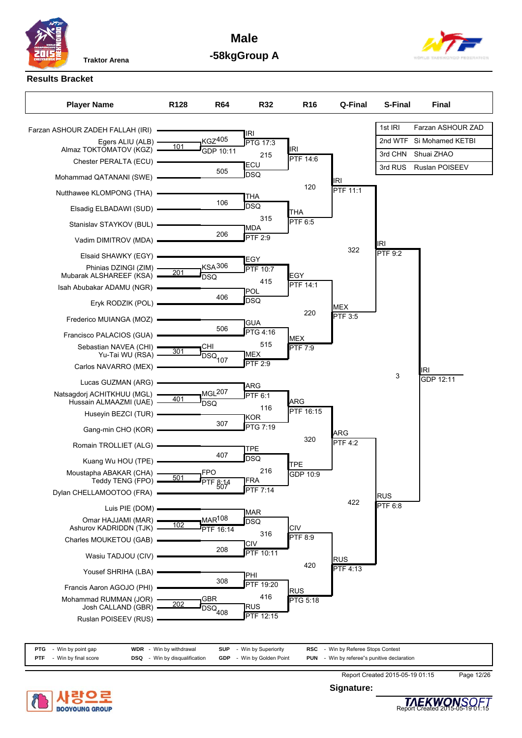**Male -58kgGroup A**



# **Results Bracket**

| <b>Player Name</b>                             | R <sub>128</sub> | <b>R64</b>                                  | <b>R32</b>        | R <sub>16</sub>        | Q-Final         | <b>S-Final</b> | <b>Final</b>             |
|------------------------------------------------|------------------|---------------------------------------------|-------------------|------------------------|-----------------|----------------|--------------------------|
| Farzan ASHOUR ZADEH FALLAH (IRI) -             |                  |                                             |                   |                        |                 | 1st IRI        | Farzan ASHOUR ZAD        |
| Egers ALIU (ALB) -                             |                  | <b>KGZ405</b>                               | IRI<br>PTG 17:3   |                        |                 |                | 2nd WTF Si Mohamed KETBI |
| Almaz TOKTOMATOV (KGZ)                         | 101              | GDP 10:11                                   | 215               | <b>IRI</b><br>PTF 14:6 |                 | 3rd CHN        | Shuai ZHAO               |
| Chester PERALTA (ECU)                          |                  | 505                                         | ECU               |                        |                 | 3rd RUS        | Ruslan POISEEV           |
| Mohammad QATANANI (SWE)                        |                  |                                             | DSQ               | 120                    | IRI             |                |                          |
| Nutthawee KLOMPONG (THA)                       |                  |                                             | THA               |                        | <b>PTF 11:1</b> |                |                          |
| Elsadig ELBADAWI (SUD) -                       |                  | 106                                         | <b>DSQ</b>        | THA                    |                 |                |                          |
| Stanislav STAYKOV (BUL)                        |                  |                                             | 315<br><b>MDA</b> | PTF 6:5                |                 |                |                          |
| Vadim DIMITROV (MDA) -                         |                  | 206                                         | PTF 2:9           |                        |                 | IRI            |                          |
| Elsaid SHAWKY (EGY) -                          |                  |                                             |                   |                        | 322             | PTF 9:2        |                          |
| Phinias DZINGI (ZIM) -                         | 201              | <b>KSA306</b>                               | EGY<br>PTF 10:7   |                        |                 |                |                          |
| Mubarak ALSHAREEF (KSA)                        |                  | DSQ                                         | 415               | <b>EGY</b><br>PTF 14:1 |                 |                |                          |
| Isah Abubakar ADAMU (NGR)                      |                  | 406                                         | POL<br>DSQ        |                        |                 |                |                          |
| Eryk RODZIK (POL)                              |                  |                                             |                   | 220                    | MEX             |                |                          |
| Frederico MUIANGA (MOZ)                        |                  |                                             | <b>GUA</b>        |                        | PTF 3:5         |                |                          |
| Francisco PALACIOS (GUA) -                     |                  | 506                                         | PTG 4:16          | MEX                    |                 |                |                          |
| Sebastian NAVEA (CHI)<br>Yu-Tai WU (RSA) -     | 301              | CHI                                         | 515<br><b>MEX</b> | <b>PTF 7:9</b>         |                 |                |                          |
| Carlos NAVARRO (MEX) -                         |                  | $\overline{DSQ}_{107}$                      | <b>PTF 2:9</b>    |                        |                 |                | IRI                      |
| Lucas GUZMAN (ARG) -                           |                  |                                             |                   |                        |                 | 3              | GDP 12:11                |
| Natsagdorj ACHITKHUU (MGL) ·                   | 401              | MGL <sup>207</sup>                          | ARG<br>PTF 6:1    |                        |                 |                |                          |
| Hussain ALMAAZMI (UAE)                         |                  | <b>DSQ</b>                                  | 116               | ARG<br>PTF 16:15       |                 |                |                          |
| Huseyin BEZCI (TUR) -                          |                  | 307                                         | KOR<br>PTG 7:19   |                        |                 |                |                          |
| Gang-min CHO (KOR)                             |                  |                                             |                   | 320                    | <b>ARG</b>      |                |                          |
| Romain TROLLIET (ALG) -                        |                  |                                             | <b>TPE</b>        |                        | <b>PTF 4:2</b>  |                |                          |
| Kuang Wu HOU (TPE) -                           |                  | 407                                         | <b>DSQ</b>        | TPE.                   |                 |                |                          |
| Moustapha ABAKAR (CHA) -<br>Teddy TENG (FPO) = | 501              | FPO<br>$\overline{PTF}$ $\frac{8.14}{5.15}$ | 216<br><b>FRA</b> | GDP 10:9               |                 |                |                          |
| Dylan CHELLAMOOTOO (FRA)                       |                  |                                             | <b>PTF 7:14</b>   |                        |                 | <b>RUS</b>     |                          |
| Luis PIE (DOM)                                 |                  |                                             |                   |                        | 422             | PTF 6:8        |                          |
| Omar HAJJAMI (MAR)                             |                  | <b>MAR108</b>                               | <b>MAR</b><br>DSQ |                        |                 |                |                          |
| Ashurov KADRIDDN (TJK)                         | 102              | PTF 16:14                                   | 316               | CIV<br><b>PTF 8:9</b>  |                 |                |                          |
| Charles MOUKETOU (GAB)                         |                  | 208                                         | <b>CIV</b>        |                        |                 |                |                          |
| Wasiu TADJOU (CIV)                             |                  |                                             | PTF 10:11         | 420                    | <b>RUS</b>      |                |                          |
| Yousef SHRIHA (LBA)                            |                  |                                             | PHI               |                        | <b>PTF 4:13</b> |                |                          |
| Francis Aaron AGOJO (PHI)                      |                  | 308                                         | PTF 19:20         | <b>RUS</b>             |                 |                |                          |
| Mohammad RUMMAN (JOR)<br>Josh CALLAND (GBR)    | 202              | <b>GBR</b>                                  | 416<br> RUS       | PTG 5:18               |                 |                |                          |
| Ruslan POISEEV (RUS)                           |                  | $\overline{DSQ}_{408}$                      | <b>PTF 12:15</b>  |                        |                 |                |                          |
|                                                |                  |                                             |                   |                        |                 |                |                          |

| PTG<br>- Win by point gap   | <b>WDR</b> - Win by withdrawal   | <b>SUP</b> - Win by Superiority  | <b>RSC</b> - Win by Referee Stops Contest          |
|-----------------------------|----------------------------------|----------------------------------|----------------------------------------------------|
| - Win by final score<br>PTF | - Win by disqualification<br>DSQ | <b>GDP</b> - Win by Golden Point | <b>PUN</b> - Win by referee"s punitive declaration |



Report Created 2015-05-19 01:15 Page 12/26

**Signature:**

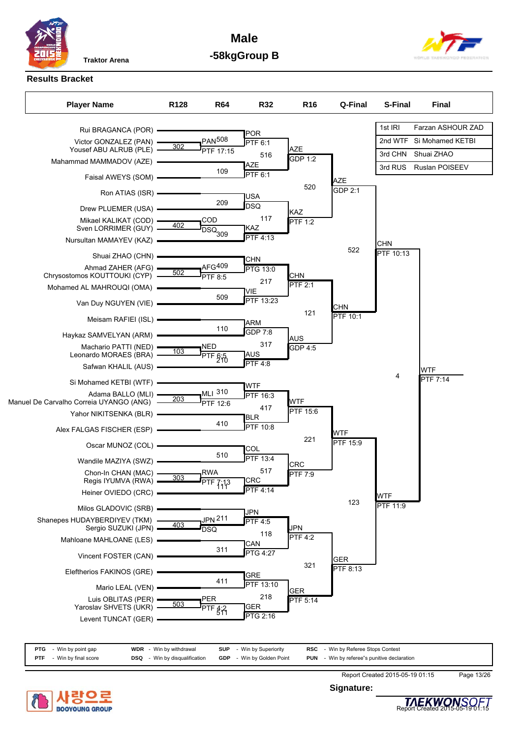**Male -58kgGroup B**



### **Results Bracket**



| PTG        | - Win by point gap   | <b>WDR</b> - Win by withdrawal   | <b>SUP</b><br>- Win by Superiority | <b>RSC</b> - Win by Referee Stops Contest          |  |
|------------|----------------------|----------------------------------|------------------------------------|----------------------------------------------------|--|
| <b>PTF</b> | - Win by final score | - Win by disqualification<br>DSQ | <b>GDP</b> - Win by Golden Point   | <b>PUN</b> - Win by referee"s punitive declaration |  |



**Signature:**



Report Created 2015-05-19 01:15 Page 13/26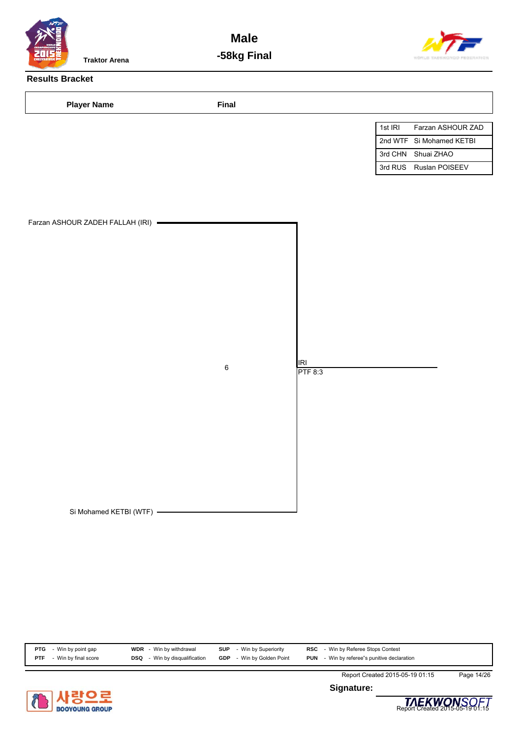

**Male -58kg Final**



# **Results Bracket**

| <b>Player Name</b>                 | Final   |                |         |                          |
|------------------------------------|---------|----------------|---------|--------------------------|
|                                    |         |                | 1st IRI | Farzan ASHOUR ZAD        |
|                                    |         |                |         | 2nd WTF Si Mohamed KETBI |
|                                    |         |                |         | 3rd CHN Shuai ZHAO       |
|                                    |         |                |         | 3rd RUS Ruslan POISEEV   |
| Farzan ASHOUR ZADEH FALLAH (IRI) - | $\,6\,$ | IRI<br>PTF 8:3 |         |                          |
| Si Mohamed KETBI (WTF) -           |         |                |         |                          |

| <b>PTG</b>         | WDR                     | <b>SUP</b>            | Win by Referee Stops Contest            |  |
|--------------------|-------------------------|-----------------------|-----------------------------------------|--|
| Win by point gap   | Win by withdrawal       | Win by Superiority    | RSC                                     |  |
| Win by final score | Win by disqualification | - Win by Golden Point | - Win by referee"s punitive declaration |  |
| <b>PTF</b>         | DSQ                     | <b>GDP</b>            | <b>PUN</b>                              |  |



**Signature:**



Report Created 2015-05-19 01:15 Page 14/26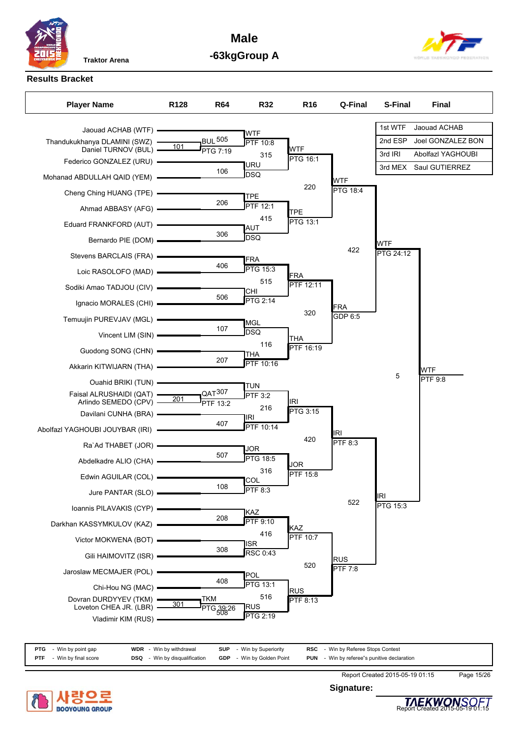

**Male -63kgGroup A**



#### **Results Bracket**



**PTG** - Win by point gap **WDR** - Win by withdrawal **SUP** - Win by Superiority **RSC** - Win by Referee Stops Contest **PTF** - Win by final score **DSQ** - Win by disqualification **GDP** - Win by Golden Point **PUN** - Win by referee"s punitive declaration



**Signature:**



Report Created 2015-05-19 01:15 Page 15/26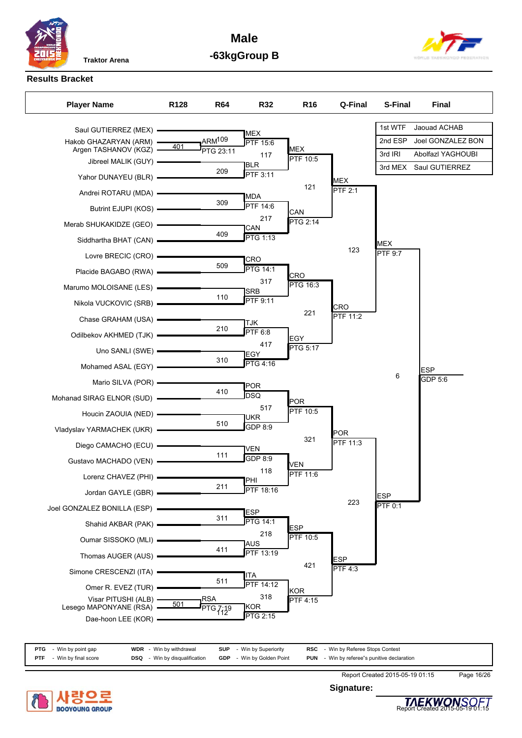**Male -63kgGroup B**



# **Results Bracket**

| <b>Player Name</b>                               | R <sub>128</sub> | <b>R64</b>         | <b>R32</b>                          | R <sub>16</sub>               | Q-Final                      | S-Final        | <b>Final</b>      |
|--------------------------------------------------|------------------|--------------------|-------------------------------------|-------------------------------|------------------------------|----------------|-------------------|
| Saul GUTIERREZ (MEX) =                           |                  |                    |                                     |                               |                              | 1st WTF        | Jaouad ACHAB      |
| Hakob GHAZARYAN (ARM) -                          | 401              | ARM <sup>109</sup> | <b>MEX</b><br>PTF 15:6              |                               |                              | 2nd ESP        | Joel GONZALEZ BON |
| Argen TASHANOV (KGZ) -<br>Jibreel MALIK (GUY) -  |                  | PTG 23:11          | 117                                 | <b>MEX</b><br><b>PTF 10:5</b> |                              | 3rd IRI        | Abolfazl YAGHOUBI |
| Yahor DUNAYEU (BLR) -                            |                  | 209                | <b>BLR</b><br>PTF 3:11              |                               |                              | 3rd MEX        | Saul GUTIERREZ    |
|                                                  |                  |                    |                                     | 121                           | <b>MEX</b><br><b>PTF 2:1</b> |                |                   |
| Andrei ROTARU (MDA) -                            |                  | 309                | <b>MDA</b><br>$\overline{PTF}$ 14:6 |                               |                              |                |                   |
| Butrint EJUPI (KOS) -                            |                  |                    | 217                                 | CAN<br>PTG 2:14               |                              |                |                   |
| Merab SHUKAKIDZE (GEO) =                         |                  | 409                | CAN                                 |                               |                              |                |                   |
| Siddhartha BHAT (CAN) =                          |                  |                    | <b>PTG 1:13</b>                     |                               | 123                          | <b>MEX</b>     |                   |
| Lovre BRECIC (CRO) -                             |                  | 509                | CRO                                 |                               |                              | PTF 9:7        |                   |
| Placide BAGABO (RWA) -                           |                  |                    | <b>PTG 14:1</b>                     | CRO                           |                              |                |                   |
| Marumo MOLOISANE (LES) -                         |                  |                    | 317<br><b>SRB</b>                   | PTG 16:3                      |                              |                |                   |
| Nikola VUCKOVIC (SRB) -                          |                  | 110                | PTF 9:11                            |                               | CRO                          |                |                   |
| Chase GRAHAM (USA) =                             |                  |                    | TJK                                 | 221                           | <b>PTF 11:2</b>              |                |                   |
| Odilbekov AKHMED (TJK) -                         |                  | 210                | PTF 6:8                             | EGY                           |                              |                |                   |
| Uno SANLI (SWE) -                                |                  |                    | 417<br>EGY                          | PTG 5:17                      |                              |                |                   |
| Mohamed ASAL (EGY) =                             |                  | 310                | <b>PTG 4:16</b>                     |                               |                              |                | <b>ESP</b>        |
| Mario SILVA (POR) -                              |                  |                    |                                     |                               |                              | 6              | GDP 5:6           |
| Mohanad SIRAG ELNOR (SUD) -                      |                  | 410                | <b>POR</b><br><b>DSQ</b>            |                               |                              |                |                   |
| Houcin ZAOUIA (NED) -                            |                  |                    | 517                                 | <b>POR</b><br>PTF 10:5        |                              |                |                   |
|                                                  |                  | 510                | UKR<br>GDP 8:9                      |                               |                              |                |                   |
| Vladyslav YARMACHEK (UKR)                        |                  |                    |                                     | 321                           | POR<br>PTF 11:3              |                |                   |
| Diego CAMACHO (ECU) -                            |                  | 111                | VEN<br>GDP 8:9                      |                               |                              |                |                   |
| Gustavo MACHADO (VEN) -                          |                  |                    | 118                                 | VEN                           |                              |                |                   |
| Lorenz CHAVEZ (PHI) -                            |                  | 211                | PHI                                 | PTF 11:6                      |                              |                |                   |
| Jordan GAYLE (GBR) -                             |                  |                    | <b>PTF</b> 18:16                    |                               | 223                          | <b>ESP</b>     |                   |
| Joel GONZALEZ BONILLA (ESP)                      |                  |                    | <b>ESP</b>                          |                               |                              | <b>PTF 0:1</b> |                   |
| Shahid AKBAR (PAK) -                             |                  | 311                | <b>PTG 14:1</b>                     | <b>ESP</b>                    |                              |                |                   |
| Oumar SISSOKO (MLI)                              |                  |                    | 218<br>AUS                          | PTF 10:5                      |                              |                |                   |
| Thomas AUGER (AUS) -                             |                  | 411                | PTF 13:19                           |                               | <b>ESP</b>                   |                |                   |
| Simone CRESCENZI (ITA)                           |                  |                    | ITA                                 | 421                           | <b>PTF 4:3</b>               |                |                   |
| Omer R. EVEZ (TUR) -                             |                  | 511                | PTF 14:12                           | KOR                           |                              |                |                   |
| Visar PITUSHI (ALB) -                            | 501              | <b>RSA</b>         | 318                                 | PTF 4:15                      |                              |                |                   |
| Lesego MAPONYANE (RSA) -<br>Dae-hoon LEE (KOR) - |                  | TG 7:19            | KOR<br>PTG 2:15                     |                               |                              |                |                   |
|                                                  |                  |                    |                                     |                               |                              |                |                   |

| <b>PTG</b> - Win by point gap      | <b>WDR</b> - Win by withdrawal       | <b>SUP</b> - Win by Superiority  | <b>RSC</b> - Win by Referee Stops Contest          |  |
|------------------------------------|--------------------------------------|----------------------------------|----------------------------------------------------|--|
| - Win by final score<br><b>PTF</b> | <b>DSQ</b> - Win by disqualification | <b>GDP</b> - Win by Golden Point | <b>PUN</b> - Win by referee"s punitive declaration |  |



**Signature:**



Report Created 2015-05-19 01:15 Page 16/26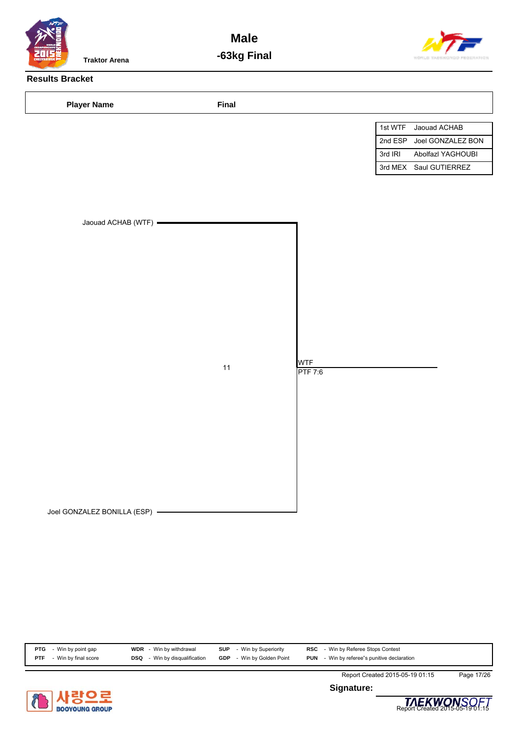

**Male -63kg Final**



# **Results Bracket**

| <b>Player Name</b>          | Final |                              |                              |
|-----------------------------|-------|------------------------------|------------------------------|
|                             |       |                              | 1st WTF<br>Jaouad ACHAB      |
|                             |       |                              | 2nd ESP<br>Joel GONZALEZ BON |
|                             |       |                              | 3rd IRI<br>Abolfazl YAGHOUBI |
|                             |       |                              | 3rd MEX Saul GUTIERREZ       |
| Jaouad ACHAB (WTF) =        | 11    | <b>WTF</b><br><b>PTF 7:6</b> |                              |
|                             |       |                              |                              |
| Joel GONZALEZ BONILLA (ESP) |       |                              |                              |

| <b>PTG</b> - Win by point gap | <b>WDR</b> - Win by withdrawal       | <b>SUP</b> - Win by Superiority  | <b>RSC</b> - Win by Referee Stops Contest          |  |
|-------------------------------|--------------------------------------|----------------------------------|----------------------------------------------------|--|
| - Win by final score<br>PTF   | <b>DSQ</b> - Win by disqualification | <b>GDP</b> - Win by Golden Point | <b>PUN</b> - Win by referee"s punitive declaration |  |



**Signature:**



Report Created 2015-05-19 01:15 Page 17/26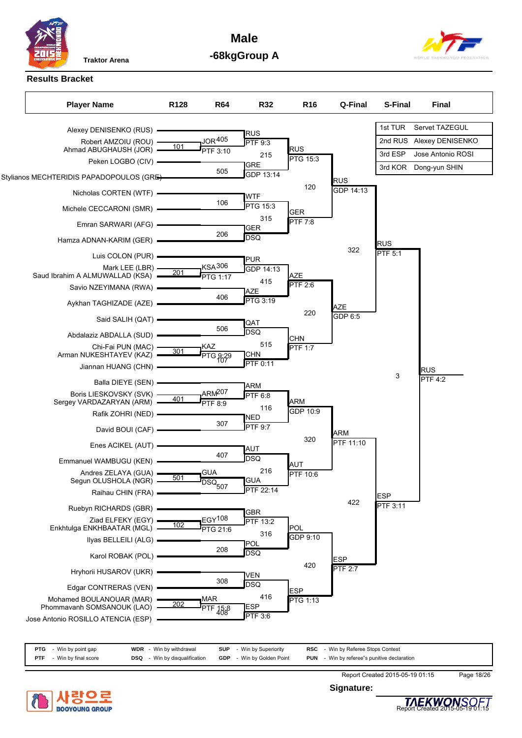**Male -68kgGroup A**



**Results Bracket**



|            | <b>PTG</b> - Win by point gap | <b>WDR</b> - Win by withdrawal       | <b>SUP</b> - Win by Superiority  | <b>RSC</b> - Win by Referee Stops Contest          |  |
|------------|-------------------------------|--------------------------------------|----------------------------------|----------------------------------------------------|--|
| <b>PTF</b> | - Win by final score          | <b>DSQ</b> - Win by disqualification | <b>GDP</b> - Win by Golden Point | <b>PUN</b> - Win by referee"s punitive declaration |  |



Report Created 2015-05-19 01:15 Page 18/26

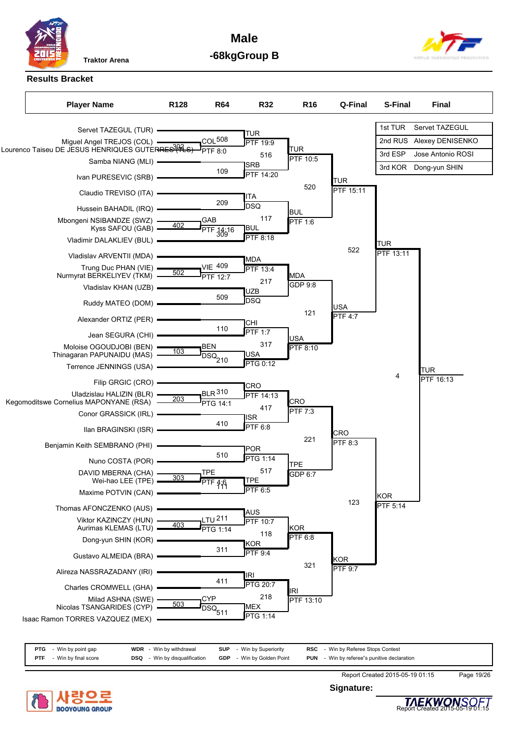

**Male -68kgGroup B**



**Results Bracket**



| PTG        | - Win by point gap | WDR        | - Win by withdrawal       | <b>SUP</b> | - Win by Superiority  | RSC        | - Win by Referee Stops Contest          |
|------------|--------------------|------------|---------------------------|------------|-----------------------|------------|-----------------------------------------|
| <b>PTF</b> | Win by final score | <b>DSQ</b> | - Win by disqualification | GDP        | - Win by Golden Point | <b>PUN</b> | - Win by referee"s punitive declaration |



**Signature:**



Report Created 2015-05-19 01:15 Page 19/26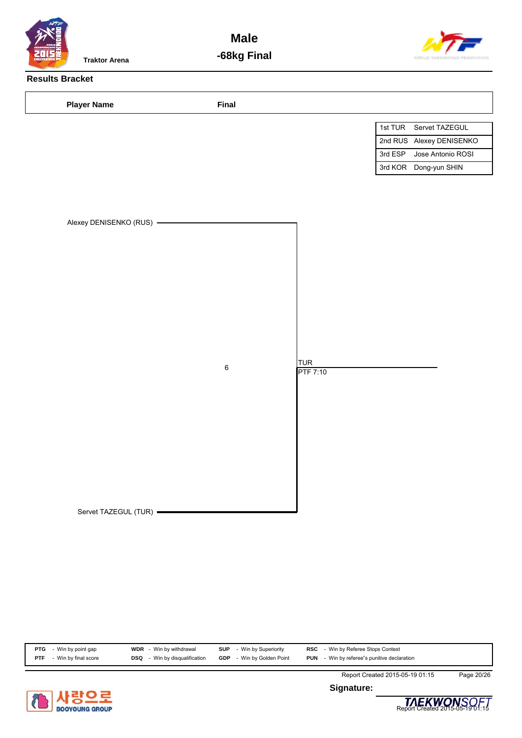

**Male -68kg Final**



# **Results Bracket**

| <b>Player Name</b>       | Final   |                                     |                              |
|--------------------------|---------|-------------------------------------|------------------------------|
|                          |         |                                     | 1st TUR Servet TAZEGUL       |
|                          |         |                                     | 2nd RUS Alexey DENISENKO     |
|                          |         |                                     | 3rd ESP<br>Jose Antonio ROSI |
|                          |         |                                     | 3rd KOR Dong-yun SHIN        |
| Alexey DENISENKO (RUS) - | $\,6\,$ | TUR <sup>1</sup><br><b>PTF 7:10</b> |                              |
| Servet TAZEGUL (TUR) -   |         |                                     |                              |

| <b>PTG</b> | Win by point gap     | <b>WDR</b> - Win by withdrawal       | <b>SUP</b><br>- Win by Superiority | RSC<br>- Win by Referee Stops Contest                 |
|------------|----------------------|--------------------------------------|------------------------------------|-------------------------------------------------------|
| <b>PTF</b> | - Win by final score | <b>DSQ</b> - Win by disqualification | - Win by Golden Point<br>GDP       | - Win by referee"s punitive declaration<br><b>PUN</b> |



**Signature:**



Report Created 2015-05-19 01:15 Page 20/26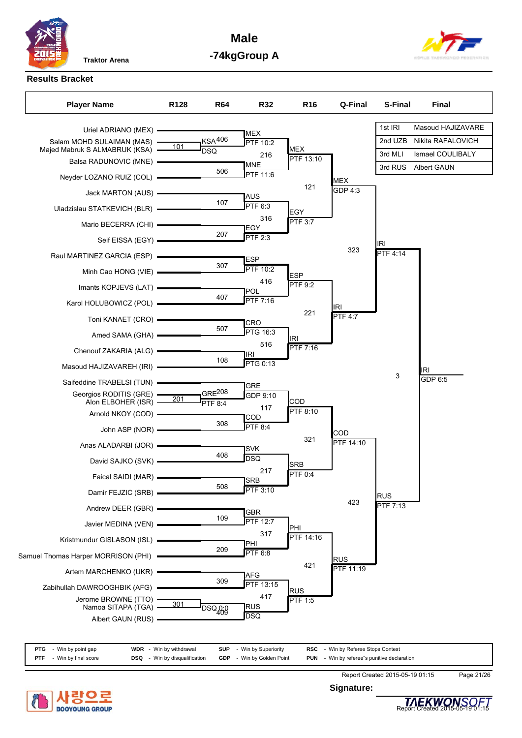

**Male -74kgGroup A**



#### **Results Bracket**



| <b>PTG</b> - Win by point gap      | <b>WDR</b> - Win by withdrawal   | - Win by Superiority<br><b>SUP</b> | <b>RSC</b> - Win by Referee Stops Contest          |  |
|------------------------------------|----------------------------------|------------------------------------|----------------------------------------------------|--|
| - Win by final score<br><b>PTF</b> | - Win by disqualification<br>DSQ | <b>GDP</b> - Win by Golden Point   | <b>PUN</b> - Win by referee"s punitive declaration |  |



**Signature:**

Report Created 2015-05-19 01:15 Page 21/26

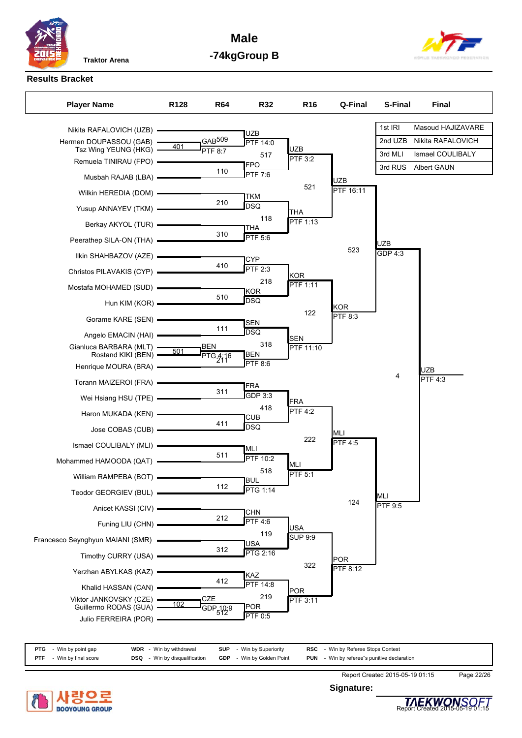

**Male -74kgGroup B**



# **Results Bracket**

| 1st IRI<br>Masoud HAJIZAVARE<br>Nikita RAFALOVICH (UZB) =<br><b>UZB</b><br>GAB <sup>509</sup><br>Nikita RAFALOVICH<br>2nd UZB<br>Hermen DOUPASSOU (GAB) -<br><b>PTF 14:0</b><br>401<br><b>UZB</b><br>Tsz Wing YEUNG (HKG) -<br><b>PTF 8:7</b><br>Ismael COULIBALY<br>3rd MLI<br>517<br>PTF 3:2<br>Remuela TINIRAU (FPO) -<br>FPO<br>Albert GAUN<br>3rd RUS<br>110<br>PTF 7:6<br>Musbah RAJAB (LBA) -<br><b>UZB</b><br>521 |  |
|---------------------------------------------------------------------------------------------------------------------------------------------------------------------------------------------------------------------------------------------------------------------------------------------------------------------------------------------------------------------------------------------------------------------------|--|
|                                                                                                                                                                                                                                                                                                                                                                                                                           |  |
|                                                                                                                                                                                                                                                                                                                                                                                                                           |  |
|                                                                                                                                                                                                                                                                                                                                                                                                                           |  |
|                                                                                                                                                                                                                                                                                                                                                                                                                           |  |
|                                                                                                                                                                                                                                                                                                                                                                                                                           |  |
| PTF 16:11<br>Wilkin HEREDIA (DOM) =<br><b>TKM</b><br>210                                                                                                                                                                                                                                                                                                                                                                  |  |
| <b>DSQ</b><br>Yusup ANNAYEV (TKM) - THE<br><b>THA</b>                                                                                                                                                                                                                                                                                                                                                                     |  |
| 118<br>PTF 1:13<br>Berkay AKYOL (TUR) <b>- Example 2</b><br><b>THA</b>                                                                                                                                                                                                                                                                                                                                                    |  |
| 310<br>PTF 5:6<br><b>UZB</b>                                                                                                                                                                                                                                                                                                                                                                                              |  |
| 523<br>GDP 4:3<br>Ilkin SHAHBAZOV (AZE) -<br><b>CYP</b>                                                                                                                                                                                                                                                                                                                                                                   |  |
| 410<br>$\overline{\mathsf{PTF}}$ 2:3                                                                                                                                                                                                                                                                                                                                                                                      |  |
| <b>KOR</b><br>218<br>PTF 1:11                                                                                                                                                                                                                                                                                                                                                                                             |  |
| <b>KOR</b><br>510<br><b>DSQ</b><br>Hun KIM (KOR) <b>- The Contract Contract Contract</b>                                                                                                                                                                                                                                                                                                                                  |  |
| KOR<br>122<br>PTF 8:3                                                                                                                                                                                                                                                                                                                                                                                                     |  |
| Gorame KARE (SEN) -<br><b>SEN</b><br>111<br><b>DSQ</b>                                                                                                                                                                                                                                                                                                                                                                    |  |
| Angelo EMACIN (HAI) ————<br><b>SEN</b><br>318<br><b>BEN</b>                                                                                                                                                                                                                                                                                                                                                               |  |
| Gianluca BARBARA (MLT) -<br>PTF 11:10<br>Rostand KIKI (BEN) $-$ 501<br>$PTG_{21}46$<br>BEN                                                                                                                                                                                                                                                                                                                                |  |
| PTF 8:6<br>Henrique MOURA (BRA) -<br><b>UZB</b>                                                                                                                                                                                                                                                                                                                                                                           |  |
| 4<br><b>PTF 4:3</b><br>Torann MAIZEROI (FRA) -<br><b>FRA</b>                                                                                                                                                                                                                                                                                                                                                              |  |
| 311<br>GDP 3:3<br><b>FRA</b>                                                                                                                                                                                                                                                                                                                                                                                              |  |
| 418<br>PTF 4:2<br>Haron MUKADA (KEN) ————<br><b>CUB</b>                                                                                                                                                                                                                                                                                                                                                                   |  |
| 411<br><b>DSQ</b><br>Jose COBAS (CUB) =<br><b>MLI</b>                                                                                                                                                                                                                                                                                                                                                                     |  |
| 222<br>PTF4:5<br>Ismael COULIBALY (MLI)                                                                                                                                                                                                                                                                                                                                                                                   |  |
| MLI<br>511<br><b>PTF 10:2</b><br>Mohammed HAMOODA (QAT)                                                                                                                                                                                                                                                                                                                                                                   |  |
| MLI<br>518<br>PTF 5:1                                                                                                                                                                                                                                                                                                                                                                                                     |  |
| William RAMPEBA (BOT) -<br> BUL<br>112<br>PTG 1:14                                                                                                                                                                                                                                                                                                                                                                        |  |
| Teodor GEORGIEV (BUL) =<br>MLI<br>124<br><b>PTF 9:5</b>                                                                                                                                                                                                                                                                                                                                                                   |  |
| Anicet KASSI (CIV)<br><b>CHN</b><br>212                                                                                                                                                                                                                                                                                                                                                                                   |  |
| PTF 4:6<br>Funing LIU (CHN) -<br><b>USA</b><br>119                                                                                                                                                                                                                                                                                                                                                                        |  |
| <b>SUP 9:9</b><br>Francesco Seynghyun MAIANI (SMR)<br>USA                                                                                                                                                                                                                                                                                                                                                                 |  |
| 312<br><b>PTG 2:16</b><br>Timothy CURRY (USA)<br><b>POR</b>                                                                                                                                                                                                                                                                                                                                                               |  |
| 322<br>PTF 8:12<br>Yerzhan ABYLKAS (KAZ)<br>KAZ                                                                                                                                                                                                                                                                                                                                                                           |  |
| 412<br>PTF 14:8<br>Khalid HASSAN (CAN)<br>POR                                                                                                                                                                                                                                                                                                                                                                             |  |
| 219<br>CZE<br>Viktor JANKOVSKY (CZE)<br>PTF 3:11<br>102                                                                                                                                                                                                                                                                                                                                                                   |  |
| Guillermo RODAS (GUA)<br>POR<br>GDP <sub>5129</sub><br><b>PTF 0:5</b><br>Julio FERREIRA (POR)                                                                                                                                                                                                                                                                                                                             |  |
|                                                                                                                                                                                                                                                                                                                                                                                                                           |  |

|     | <b>PTG</b> - Win by point gap | <b>WDR</b> - Win by withdrawal       | <b>SUP</b> - Win by Superiority  | <b>RSC</b> - Win by Referee Stops Contest          |  |
|-----|-------------------------------|--------------------------------------|----------------------------------|----------------------------------------------------|--|
| PTF | - Win by final score          | <b>DSQ</b> - Win by disqualification | <b>GDP</b> - Win by Golden Point | <b>PUN</b> - Win by referee"s punitive declaration |  |



**Signature:**



Report Created 2015-05-19 01:15 Page 22/26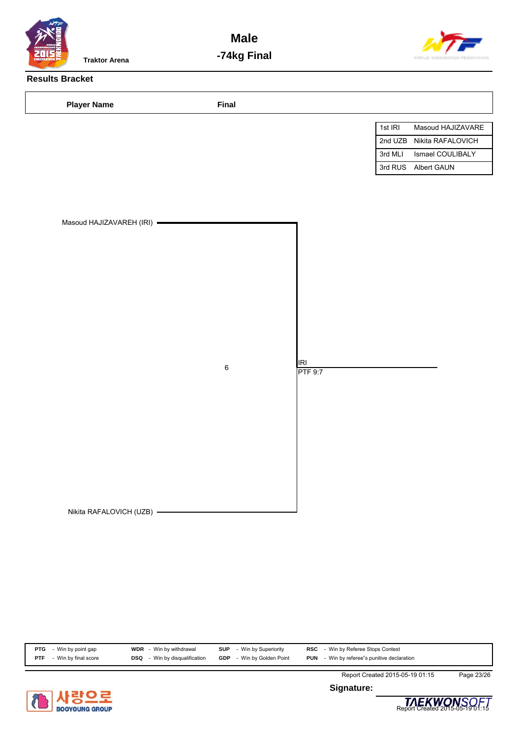

**Male -74kg Final**



# **Results Bracket**

| <b>Player Name</b>                                      | Final   |                |         |                     |
|---------------------------------------------------------|---------|----------------|---------|---------------------|
|                                                         |         |                | 1st IRI | Masoud HAJIZAVARE   |
|                                                         |         |                | 2nd UZB | Nikita RAFALOVICH   |
|                                                         |         |                | 3rd MLI | Ismael COULIBALY    |
|                                                         |         |                |         | 3rd RUS Albert GAUN |
| Masoud HAJIZAVAREH (IRI) -<br>Nikita RAFALOVICH (UZB) - | $\,6\,$ | IRI<br>PTF 9:7 |         |                     |

| <b>PTG</b> - Win by point gap   | <b>WDR</b> - Win by withdrawal       | <b>SUP</b> - Win by Superiority  | <b>RSC</b> - Win by Referee Stops Contest          |  |
|---------------------------------|--------------------------------------|----------------------------------|----------------------------------------------------|--|
| <b>PTF</b> - Win by final score | <b>DSQ</b> - Win by disqualification | <b>GDP</b> - Win by Golden Point | <b>PUN</b> - Win by referee"s punitive declaration |  |



**Signature:**



Report Created 2015-05-19 01:15 Page 23/26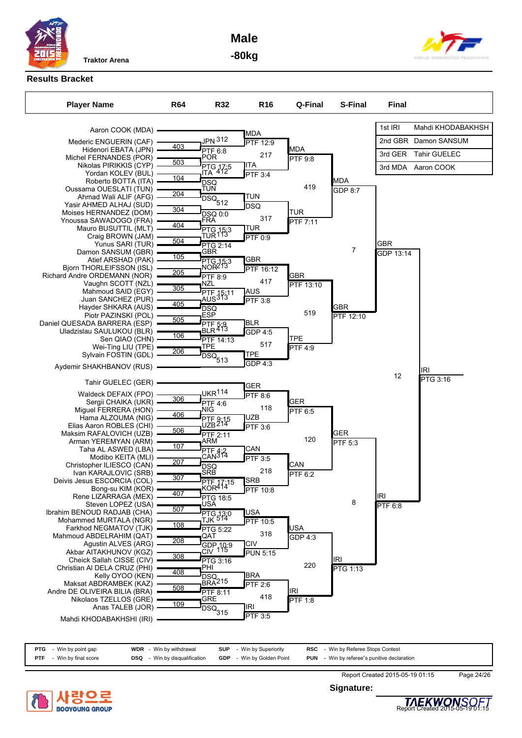

**Male -80kg**





# **Results Bracket**

| <b>Player Name</b>                                        | <b>R64</b> | <b>R32</b>                      | <b>R16</b>                   | Q-Final              | S-Final         | <b>Final</b>   |                      |
|-----------------------------------------------------------|------------|---------------------------------|------------------------------|----------------------|-----------------|----------------|----------------------|
| Aaron COOK (MDA)                                          |            |                                 | MDA                          |                      |                 | 1st IRI        | Mahdi KHODABAKHSH    |
| Mederic ENGUERIN (CAF)                                    |            | JPN 312                         | PTF 12:9                     |                      |                 |                | 2nd GBR Damon SANSUM |
| Hidenori EBATA (JPN)                                      | 403        | PTF 6:8                         |                              | <b>MDA</b>           |                 | 3rd GER        | <b>Tahir GUELEC</b>  |
| Michel FERNANDES (POR)                                    | 503        | POR                             | 217                          | <b>PTF 9:8</b>       |                 |                |                      |
| Nikolas PIRIKKIS (CYP)<br>Yordan KOLEV (BUL)              |            | PTG 17:5<br>ITA 412             | ITA<br>PTF 3:4               |                      |                 |                | 3rd MDA Aaron COOK   |
| Roberto BOTTA (ITA)                                       | 104        | <b>DSQ</b>                      |                              |                      | MDA             |                |                      |
| Oussama OUESLATI (TUN)                                    | 204        | <b>TUN</b>                      |                              | 419                  | GDP 8:7         |                |                      |
| Ahmad Wali ALIF (AFG)<br>Yasir AHMED ALHAJ (SUD)          |            | DSQ <sub>512</sub>              | TUN<br><b>DSQ</b>            |                      |                 |                |                      |
| Moises HERNANDEZ (DOM)                                    | 304        | <b>DSQ 0:0</b>                  |                              | <b>TUR</b>           |                 |                |                      |
| Ynoussa SAWADOGO (FRA)                                    | 404        | FRA                             | 317                          | PTF 7:11             |                 |                |                      |
| Mauro BUSUTTIL (MLT)                                      |            | PTG 15:3<br>TUR <sup>113</sup>  | TUR                          |                      |                 |                |                      |
| Craig BROWN (JAM)<br>Yunus SARI (TUR)                     | 504        | PTG 2:14                        | <b>PTF 0:9</b>               |                      |                 | GBR            |                      |
| Damon SANSUM (GBR)                                        |            | GBR                             |                              |                      | 7               | GDP 13:14      |                      |
| Atief ARSHAD (PAK)                                        | 105        | PTG 15:3<br>NOR <sup>213</sup>  | GBR                          |                      |                 |                |                      |
| Bjorn THORLEIFSSON (ISL)                                  | 205        |                                 | PTF 16:12                    |                      |                 |                |                      |
| Richard Andre ORDEMANN (NOR)<br>Vaughn SCOTT (NZL)        |            | <b>PTF 8:9</b><br>NZL           | 417                          | GBR                  |                 |                |                      |
| Mahmoud SAID (EGY)                                        | 305        |                                 | AUS                          | PTF 13:10            |                 |                |                      |
| Juan SANCHEZ (PUR)                                        |            | PTF 15:11<br>AUS <sup>313</sup> | PTF 3:8                      |                      |                 |                |                      |
| Hayder SHKARA (AUS)                                       | 405        | 'DSQ<br>ESP                     |                              |                      | <b>GBR</b>      |                |                      |
| Piotr PAZINSKI (POL)                                      | 505        |                                 |                              | 519                  | PTF 12:10       |                |                      |
| Daniel QUESADA BARRERA (ESP)<br>Uladzislau SAULUKOU (BLR) |            | PTF 5:9<br>BLR <sup>413</sup>   | BLR                          |                      |                 |                |                      |
| Sen QIAO (CHN)                                            | 106        | PTF 14:13                       | GDP 4:5                      | <b>TPE</b>           |                 |                |                      |
| Wei-Ting LIU (TPE)                                        |            | TPE                             | 517                          | PTF4:9               |                 |                |                      |
| Sylvain FOSTIN (GDL)                                      | 206        | $\overline{DSQ}_{513}$          | TPE                          |                      |                 |                |                      |
| Aydemir SHAKHBANOV (RUS)                                  |            |                                 | <b>GDP 4:3</b>               |                      |                 |                | IRI                  |
| Tahir GUELEC (GER)                                        |            |                                 |                              |                      |                 | 12             | PTG 3:16             |
| Waldeck DEFAIX (FPO)                                      |            | <b>UKR114</b>                   | GER<br><b>PTF 8:6</b>        |                      |                 |                |                      |
| Sergii CHAIKA (UKR)                                       | 306        | <b>PTF 4:6</b>                  |                              | <b>GER</b>           |                 |                |                      |
| Miguel FERRERA (HON)                                      |            | NIG                             | 118                          | <b>PTF 6:5</b>       |                 |                |                      |
| Hama ALZOUMA (NIG)                                        | 406        | PTF 9:15<br>UZB <sup>214</sup>  | UZB                          |                      |                 |                |                      |
| Elias Aaron ROBLES (CHI)<br>Maksim RAFALOVICH (UZB)       | 506        |                                 | <b>PTF 3:6</b>               |                      | <b>GER</b>      |                |                      |
| Arman YEREMYAN (ARM)                                      |            | PTF 2:11<br>ARM                 |                              | 120                  | PTF 5:3         |                |                      |
| Taha AL ASWED (LBA)                                       | 107        |                                 | CAN                          |                      |                 |                |                      |
| Modibo KEITA (MLI)                                        | 207        | PTF 4:2<br>CAN <sup>314</sup>   | <b>PTF 3:5</b>               |                      |                 |                |                      |
| Christopher ILIESCO (CAN)                                 |            | <b>DSQ</b>                      | 218                          | CAN                  |                 |                |                      |
| Ivan KARAJLOVIC (SRB)<br>Deivis Jesus ESCORCIA (COL)      | 307        | SRB                             | SRB                          | $\overline{PTF}$ 6:2 |                 |                |                      |
| Bong-su KIM (KOR)                                         |            | PTF 17:15<br>KOR <sup>414</sup> | $\overline{\text{PTF}}$ 10:8 |                      |                 |                |                      |
| Rene LIZARRAGA (MEX)                                      | 407        | <b>PTG 18:5</b>                 |                              |                      |                 | <b>IRI</b>     |                      |
| Steven LOPEZ (USA)                                        | 507        | USA                             |                              |                      | 8               | <b>PTF 6:8</b> |                      |
| Ibrahim BENOUD RADJAB (CHA)<br>Mohammed MURTALA (NGR)     |            | PTG 13:0<br>TJK <sup>514</sup>  | USA                          |                      |                 |                |                      |
| Farkhod NEGMATOV (TJK)                                    | 108        | PTG 5:22                        | PTF 10:5                     | USA                  |                 |                |                      |
| Mahmoud ABDELRAHIM (QAT)                                  |            | QAT                             | 318                          | GDP 4:3              |                 |                |                      |
| Agustin ALVES (ARG)                                       | 208        | GDP <sub>10:9</sub>             | CIV                          |                      |                 |                |                      |
| Akbar AITAKHUNOV (KGZ)                                    | 308        |                                 | PUN 5:15                     |                      |                 |                |                      |
| Cheick Sallah CISSE (CIV)<br>Christian AI DELA CRUZ (PHI) |            | PTG 3:16<br>PHI                 |                              | 220                  | IRI             |                |                      |
| Kelly OYOO (KEN)                                          | 408        |                                 | <b>BRA</b>                   |                      | <b>PTG 1:13</b> |                |                      |
| Maksat ABDRAMBEK (KAZ)                                    |            | DSQ<br>BRA215                   | PTF 2:6                      |                      |                 |                |                      |
| Andre DE OLIVEIRA BILIA (BRA)                             | 508        | PTF 8:11                        | 418                          | IRI                  |                 |                |                      |
| Nikolaos TZELLOS (GRE)<br>Anas TALEB (JOR)                | 109        | GRE                             | IRI                          | <b>PTF 1:8</b>       |                 |                |                      |
|                                                           |            | $\overline{DSQ}_{315}$          | PTF 3:5                      |                      |                 |                |                      |
| Mahdi KHODABAKHSHI (IRI)                                  |            |                                 |                              |                      |                 |                |                      |

|            | <b>PTG</b> - Win by point gap | <b>WDR</b> - Win by withdrawal       | <b>SUP</b> - Win by Superiority  | <b>RSC</b> - Win by Referee Stops Contest          |
|------------|-------------------------------|--------------------------------------|----------------------------------|----------------------------------------------------|
| <b>PTF</b> | - Win by final score          | <b>DSQ</b> - Win by disqualification | <b>GDP</b> - Win by Golden Point | <b>PUN</b> - Win by referee"s punitive declaration |



**Signature:**



Report Created 2015-05-19 01:15 Page 24/26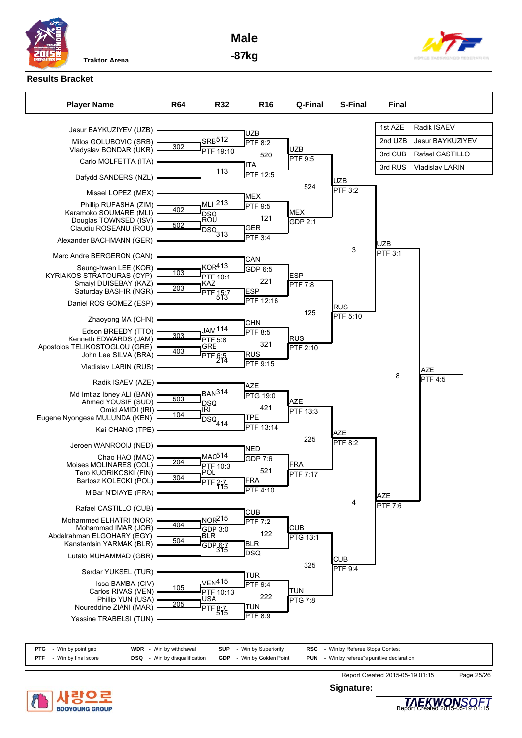**Male**





# **Results Bracket**

| <b>Player Name</b>                                                                                                                                     | <b>R64</b> | <b>R32</b>                                                               | R <sub>16</sub>                                         | Q-Final                       | <b>S-Final</b>         | <b>Final</b>   |                        |
|--------------------------------------------------------------------------------------------------------------------------------------------------------|------------|--------------------------------------------------------------------------|---------------------------------------------------------|-------------------------------|------------------------|----------------|------------------------|
|                                                                                                                                                        |            |                                                                          |                                                         |                               |                        |                |                        |
| Jasur BAYKUZIYEV (UZB) =                                                                                                                               |            |                                                                          | UZB                                                     |                               |                        | 1st AZE        | Radik ISAEV            |
| Milos GOLUBOVIC (SRB)<br>Vladyslav BONDAR (UKR) -                                                                                                      | 302        | SRB512<br>PTF 19:10                                                      | <b>PTF 8:2</b>                                          | UZB                           |                        | 2nd UZB        | Jasur BAYKUZIYEV       |
| Carlo MOLFETTA (ITA) -                                                                                                                                 |            |                                                                          | 520                                                     | <b>PTF 9:5</b>                |                        | 3rd CUB        | Rafael CASTILLO        |
| Dafydd SANDERS (NZL) -                                                                                                                                 |            | 113                                                                      | ITA<br><b>PTF 12:5</b>                                  |                               |                        | 3rd RUS        | <b>Vladislav LARIN</b> |
| Misael LOPEZ (MEX) -                                                                                                                                   |            |                                                                          |                                                         | 524                           | UZB<br><b>PTF 3:2</b>  |                |                        |
| Phillip RUFASHA (ZIM)<br>Karamoko SOUMARE (MLI) -<br>Douglas TOWNSED (ISV) -<br>Claudiu ROSEANU (ROU) -                                                | 402<br>502 | <b>MLI 213</b><br><b>DSQ</b><br>ROÛ<br>$\overline{DSQ}_{313}$            | <b>MEX</b><br><b>PTF 9:5</b><br>121<br>GER<br>$PTF$ 3:4 | <b>MEX</b><br>GDP 2:1         |                        |                |                        |
| Alexander BACHMANN (GER)                                                                                                                               |            |                                                                          |                                                         |                               | 3                      | UZB            |                        |
| Marc Andre BERGERON (CAN)                                                                                                                              |            |                                                                          | CAN                                                     |                               |                        | <b>PTF 3:1</b> |                        |
| Seung-hwan LEE (KOR)<br>KYRIAKOS STRATOURAS (CYP)<br>Smaiyl DUISEBAY (KAZ)<br>Saturday BASHIR (NGR) -<br>Daniel ROS GOMEZ (ESP) ·                      | 103<br>203 | KOR413<br><b>PTF 10:1</b><br>KAZ<br>PTF 15:7                             | GDP 6:5<br>221<br><b>ESP</b><br>PTF 12:16               | <b>ESP</b><br>PTF 7:8         |                        |                |                        |
|                                                                                                                                                        |            |                                                                          |                                                         | 125                           | <b>RUS</b><br>PTF 5:10 |                |                        |
| Zhaoyong MA (CHN)<br>Edson BREEDY (TTO)<br>Kenneth EDWARDS (JAM)<br>Apostolos TELIKOSTOGLOU (GRE)<br>John Lee SILVA (BRA) -<br>Vladislav LARIN (RUS) - | 303<br>403 | JAM <sup>114</sup><br><b>PTF 5:8</b><br>GRE<br>PTF $6.5$                 | CHN<br><b>PTF 8:5</b><br>321<br>RUS<br><b>PTF 9:15</b>  | <b>RUS</b><br>PTF 2:10        |                        |                | <b>AZE</b>             |
| Radik ISAEV (AZE) -                                                                                                                                    |            |                                                                          | <b>AZE</b>                                              |                               |                        | 8              | <b>PTF 4:5</b>         |
| Md Imtiaz Ibney ALI (BAN)<br>Ahmed YOUSIF (SUD) -<br>Omid AMIDI (IRI) -<br>Eugene Nyongesa MULUNDA (KEN) -<br>Kai CHANG (TPE) -                        | 503<br>104 | BAN <sup>314</sup><br><b>DSQ</b><br>IRI<br>$\overline{\text{DSQ}}_{414}$ | <b>PTG 19:0</b><br>421<br>TPE<br>PTF 13:14              | AZE<br>PTF 13:3<br>225        | <b>AZE</b>             |                |                        |
| Jeroen WANROOIJ (NED)                                                                                                                                  |            |                                                                          | NED                                                     |                               | <b>PTF 8:2</b>         |                |                        |
| Chao HAO (MAC)<br>Moises MOLINARES (COL)<br>Tero KUORIKOSKI (FIN)<br>Bartosz KOLECKI (POL)<br>M'Bar N'DIAYE (FRA)                                      | 204<br>304 | <b>MAC<sub>514</sub></b><br>PTF 10:3<br>POL<br>PTF 2:7                   | GDP 7:6<br>521<br><b>JFRA</b><br><b>PTF 4:10</b>        | <b>FRA</b><br>PTF 7:17        |                        | <b>AZE</b>     |                        |
| Rafael CASTILLO (CUB)                                                                                                                                  |            |                                                                          | <b>CUB</b>                                              |                               | 4                      | <b>PTF 7:6</b> |                        |
| Mohammed ELHATRI (NOR)<br>Mohammad IMAR (JOR)<br>Abdelrahman ELGOHARY (EGY)<br>Kanstantsin YARMAK (BLR)<br>Lutalo MUHAMMAD (GBR)                       | 404<br>504 | NOR <sup>215</sup><br>$GDP$ 3:0<br><b>BLR</b><br>$GDP_36:7$              | PTF 7:2<br>122<br>BLR<br><b>DSQ</b>                     | <b>CUB</b><br><b>PTG 13:1</b> | <b>CUB</b>             |                |                        |
| Serdar YUKSEL (TUR)                                                                                                                                    |            |                                                                          | <b>TUR</b>                                              | 325                           | PTF 9:4                |                |                        |
| Issa BAMBA (CIV)<br>Carlos RIVAS (VEN)<br>Phillip YUN (USA)<br>Noureddine ZIANI (MAR)<br>Yassine TRABELSI (TUN)                                        | 105<br>205 | <b>VEN415</b><br>PTF 10:13<br>USA<br>PTF $8\frac{7}{15}$                 | <b>PTF 9:4</b><br>222<br> TUN<br>PTF 8:9                | <b>TUN</b><br>PTG 7:8         |                        |                |                        |
|                                                                                                                                                        |            |                                                                          |                                                         |                               |                        |                |                        |

| <b>PTG</b> - Win by point gap   | <b>WDR</b> - Win by withdrawal       | <b>SUP</b> - Win by Superiority  | <b>RSC</b> - Win by Referee Stops Contest          |  |
|---------------------------------|--------------------------------------|----------------------------------|----------------------------------------------------|--|
| <b>PTF</b> - Win by final score | <b>DSQ</b> - Win by disqualification | <b>GDP</b> - Win by Golden Point | <b>PUN</b> - Win by referee"s punitive declaration |  |



**Signature:**



Report Created 2015-05-19 01:15 Page 25/26